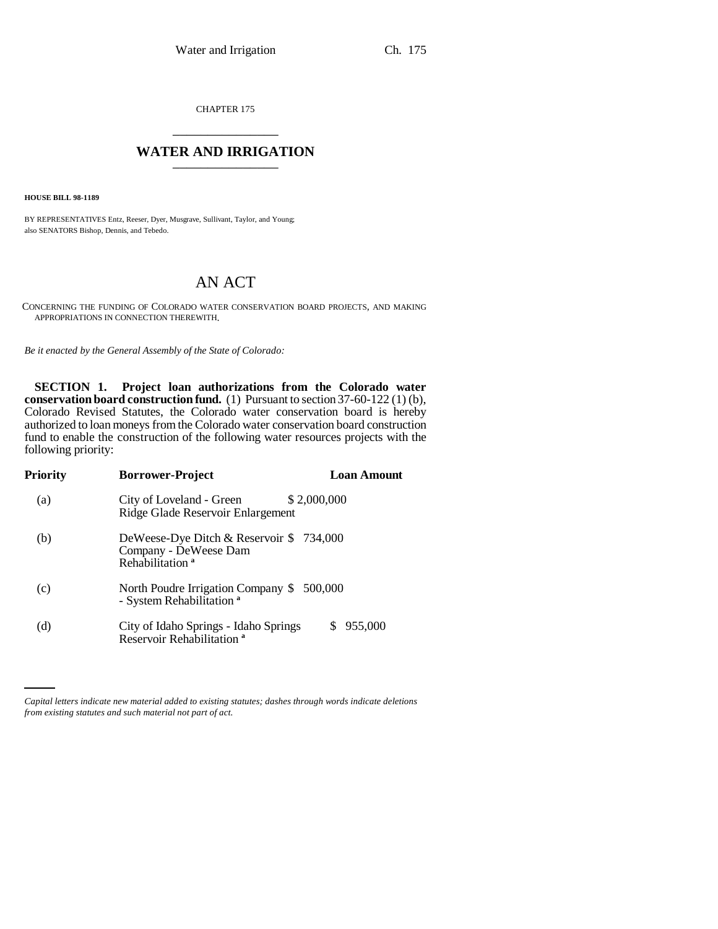CHAPTER 175 \_\_\_\_\_\_\_\_\_\_\_\_\_\_\_

## **WATER AND IRRIGATION**

**HOUSE BILL 98-1189**

BY REPRESENTATIVES Entz, Reeser, Dyer, Musgrave, Sullivant, Taylor, and Young; also SENATORS Bishop, Dennis, and Tebedo.

## AN ACT

CONCERNING THE FUNDING OF COLORADO WATER CONSERVATION BOARD PROJECTS, AND MAKING APPROPRIATIONS IN CONNECTION THEREWITH.

*Be it enacted by the General Assembly of the State of Colorado:*

**SECTION 1. Project loan authorizations from the Colorado water conservation board construction fund.** (1) Pursuant to section 37-60-122 (1) (b), Colorado Revised Statutes, the Colorado water conservation board is hereby authorized to loan moneys from the Colorado water conservation board construction fund to enable the construction of the following water resources projects with the following priority:

| Priority | <b>Borrower-Project</b><br><b>Loan Amount</b>                                                   |  |
|----------|-------------------------------------------------------------------------------------------------|--|
| (a)      | \$2,000,000<br>City of Loveland - Green<br>Ridge Glade Reservoir Enlargement                    |  |
| (b)      | DeWeese-Dye Ditch & Reservoir \$734,000<br>Company - DeWeese Dam<br>Rehabilitation <sup>a</sup> |  |
| (c)      | North Poudre Irrigation Company \$ 500,000<br>- System Rehabilitation <sup>a</sup>              |  |
| (d)      | City of Idaho Springs - Idaho Springs<br>955,000<br>S.<br>Reservoir Rehabilitation <sup>a</sup> |  |

*Capital letters indicate new material added to existing statutes; dashes through words indicate deletions from existing statutes and such material not part of act.*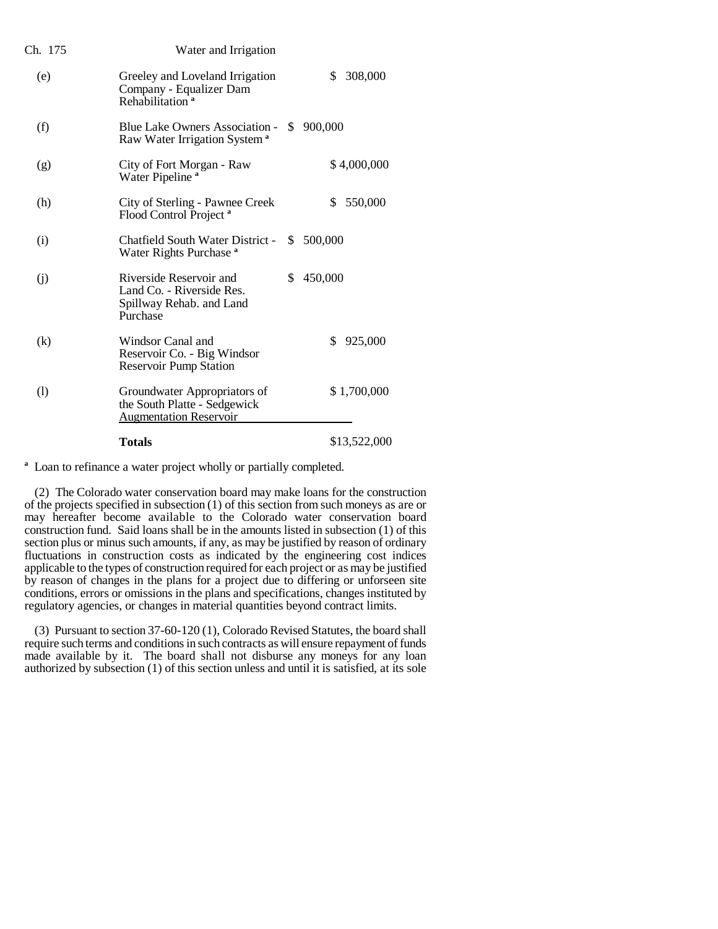| Ch. 175 | Water and Irrigation                                                                          |     |                |
|---------|-----------------------------------------------------------------------------------------------|-----|----------------|
| (e)     | Greeley and Loveland Irrigation<br>Company - Equalizer Dam<br>Rehabilitation <sup>a</sup>     |     | \$.<br>308,000 |
| (f)     | Blue Lake Owners Association -<br>Raw Water Irrigation System <sup>a</sup>                    | \$  | 900,000        |
| (g)     | City of Fort Morgan - Raw<br>Water Pipeline <sup>a</sup>                                      |     | \$4,000,000    |
| (h)     | City of Sterling - Pawnee Creek<br>Flood Control Project <sup>a</sup>                         |     | \$.<br>550,000 |
| (i)     | Chatfield South Water District -<br>Water Rights Purchase <sup>a</sup>                        | \$. | 500,000        |
| (j)     | Riverside Reservoir and<br>Land Co. - Riverside Res.<br>Spillway Rehab. and Land<br>Purchase  | S   | 450,000        |
| (k)     | Windsor Canal and<br>Reservoir Co. - Big Windsor<br><b>Reservoir Pump Station</b>             |     | \$<br>925,000  |
| (1)     | Groundwater Appropriators of<br>the South Platte - Sedgewick<br><b>Augmentation Reservoir</b> |     | \$1,700,000    |
|         | <b>Totals</b>                                                                                 |     | \$13,522,000   |

<sup>a</sup> Loan to refinance a water project wholly or partially completed.

(2) The Colorado water conservation board may make loans for the construction of the projects specified in subsection (1) of this section from such moneys as are or may hereafter become available to the Colorado water conservation board construction fund. Said loans shall be in the amounts listed in subsection (1) of this section plus or minus such amounts, if any, as may be justified by reason of ordinary fluctuations in construction costs as indicated by the engineering cost indices applicable to the types of construction required for each project or as may be justified by reason of changes in the plans for a project due to differing or unforseen site conditions, errors or omissions in the plans and specifications, changes instituted by regulatory agencies, or changes in material quantities beyond contract limits.

(3) Pursuant to section 37-60-120 (1), Colorado Revised Statutes, the board shall require such terms and conditions in such contracts as will ensure repayment of funds made available by it. The board shall not disburse any moneys for any loan authorized by subsection (1) of this section unless and until it is satisfied, at its sole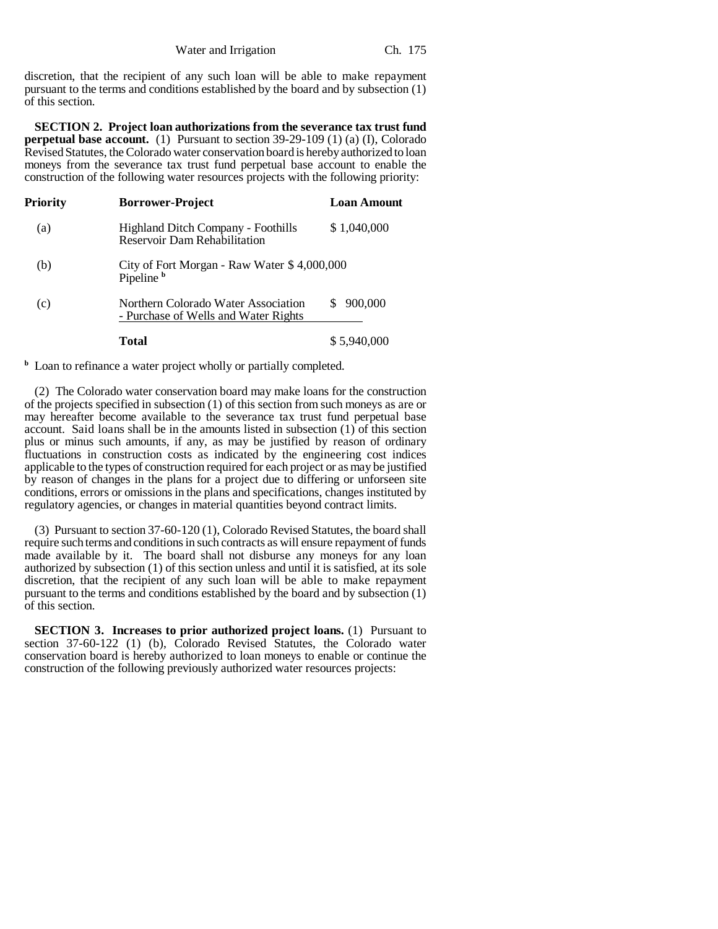discretion, that the recipient of any such loan will be able to make repayment pursuant to the terms and conditions established by the board and by subsection (1) of this section.

**SECTION 2. Project loan authorizations from the severance tax trust fund perpetual base account.** (1) Pursuant to section 39-29-109 (1) (a) (I), Colorado Revised Statutes, the Colorado water conservation board is hereby authorized to loan moneys from the severance tax trust fund perpetual base account to enable the construction of the following water resources projects with the following priority:

| Priority | <b>Borrower-Project</b>                                                          | <b>Loan Amount</b> |
|----------|----------------------------------------------------------------------------------|--------------------|
| (a)      | <b>Highland Ditch Company - Foothills</b><br><b>Reservoir Dam Rehabilitation</b> | \$1,040,000        |
| (b)      | City of Fort Morgan - Raw Water \$4,000,000<br>Pipeline <sup>b</sup>             |                    |
| (c)      | Northern Colorado Water Association<br>- Purchase of Wells and Water Rights      | 900.000            |
|          | Total                                                                            | \$5,940,000        |

**b** Loan to refinance a water project wholly or partially completed.

(2) The Colorado water conservation board may make loans for the construction of the projects specified in subsection (1) of this section from such moneys as are or may hereafter become available to the severance tax trust fund perpetual base account. Said loans shall be in the amounts listed in subsection (1) of this section plus or minus such amounts, if any, as may be justified by reason of ordinary fluctuations in construction costs as indicated by the engineering cost indices applicable to the types of construction required for each project or as may be justified by reason of changes in the plans for a project due to differing or unforseen site conditions, errors or omissions in the plans and specifications, changes instituted by regulatory agencies, or changes in material quantities beyond contract limits.

(3) Pursuant to section 37-60-120 (1), Colorado Revised Statutes, the board shall require such terms and conditions in such contracts as will ensure repayment of funds made available by it. The board shall not disburse any moneys for any loan authorized by subsection (1) of this section unless and until it is satisfied, at its sole discretion, that the recipient of any such loan will be able to make repayment pursuant to the terms and conditions established by the board and by subsection (1) of this section.

**SECTION 3. Increases to prior authorized project loans.** (1) Pursuant to section 37-60-122 (1) (b), Colorado Revised Statutes, the Colorado water conservation board is hereby authorized to loan moneys to enable or continue the construction of the following previously authorized water resources projects: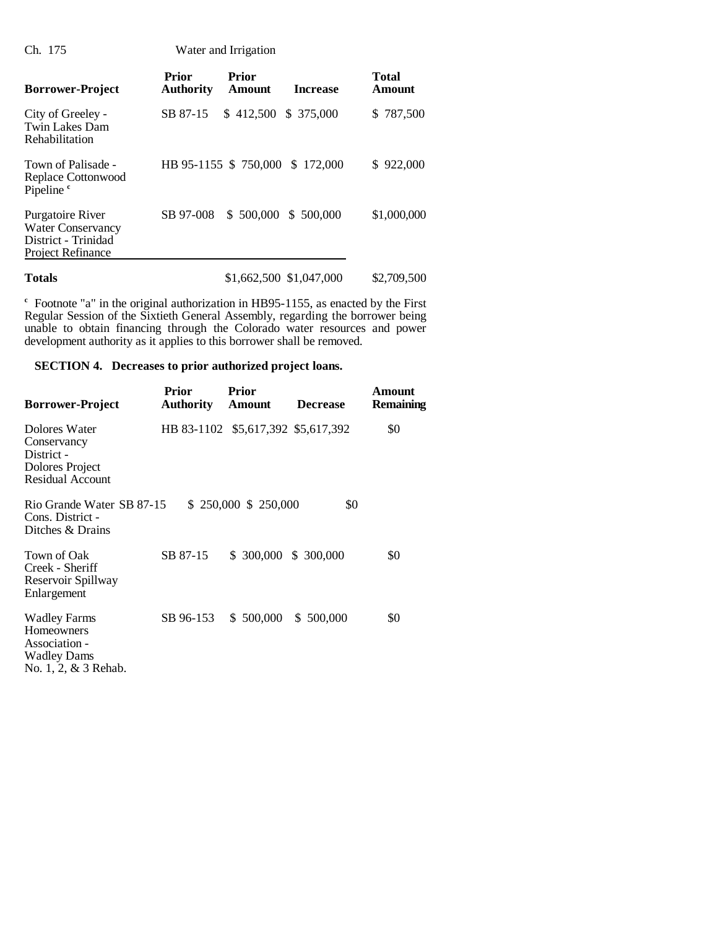Ch. 175 Water and Irrigation

| <b>Borrower-Project</b>                                                                  | Prior<br><b>Authority</b> | <b>Prior</b><br>Amount  | <b>Increase</b> | <b>Total</b><br>Amount |
|------------------------------------------------------------------------------------------|---------------------------|-------------------------|-----------------|------------------------|
| City of Greeley -<br>Twin Lakes Dam<br>Rehabilitation                                    | SB 87-15                  | $$412,500 \$375,000$    |                 | \$787,500              |
| Town of Palisade -<br>Replace Cottonwood<br>Pipeline <sup>c</sup>                        |                           | HB 95-1155 \$750,000    | \$172,000       | 922,000<br>S.          |
| Purgatoire River<br><b>Water Conservancy</b><br>District - Trinidad<br>Project Refinance | SB 97-008                 | \$500,000               | \$ 500,000      | \$1,000,000            |
| <b>Totals</b>                                                                            |                           | \$1,662,500 \$1,047,000 |                 | \$2,709,500            |

**c** Footnote "a" in the original authorization in HB95-1155, as enacted by the First Regular Session of the Sixtieth General Assembly, regarding the borrower being unable to obtain financing through the Colorado water resources and power development authority as it applies to this borrower shall be removed.

## **SECTION 4. Decreases to prior authorized project loans.**

| <b>Borrower-Project</b>                                                                          | <b>Prior</b><br><b>Authority</b> | Prior<br>Amount                    | <b>Decrease</b> | Amount<br>Remaining |
|--------------------------------------------------------------------------------------------------|----------------------------------|------------------------------------|-----------------|---------------------|
| Dolores Water<br>Conservancy<br>District -<br>Dolores Project<br><b>Residual Account</b>         |                                  | HB 83-1102 \$5,617,392 \$5,617,392 |                 | \$0                 |
| Rio Grande Water SB 87-15<br>Cons. District -<br>Ditches & Drains                                |                                  | $$250,000 \ $250,000$              | \$0             |                     |
| Town of Oak<br>Creek - Sheriff<br>Reservoir Spillway<br>Enlargement                              | SB 87-15                         | \$ 300,000 \$ 300,000              |                 | \$0                 |
| <b>Wadley Farms</b><br>Homeowners<br>Association -<br><b>Wadley Dams</b><br>No. 1, 2, & 3 Rehab. | SB 96-153                        | $$500,000$ $$500,000$              |                 | \$0                 |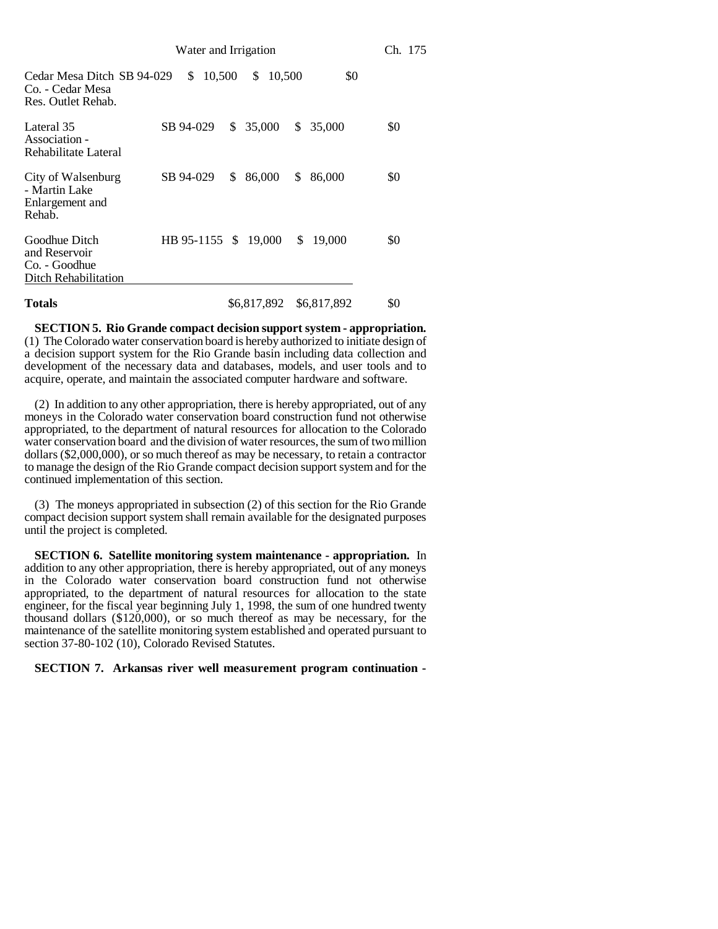| Water and Irrigation                                                    |  |                      |    |             | Ch. 175 |              |     |
|-------------------------------------------------------------------------|--|----------------------|----|-------------|---------|--------------|-----|
| Cedar Mesa Ditch SB 94-029<br>Co. - Cedar Mesa<br>Res. Outlet Rehab.    |  | 10,500<br>\$         |    | \$          | 10,500  | \$0          |     |
| Lateral 35<br>Association -<br>Rehabilitate Lateral                     |  | SB 94-029            |    | \$35,000    | \$      | 35,000       | \$0 |
| City of Walsenburg<br>- Martin Lake<br>Enlargement and<br>Rehab.        |  | SB 94-029            | \$ | 86,000      | \$      | 86,000       | \$0 |
| Goodhue Ditch<br>and Reservoir<br>Co. - Goodhue<br>Ditch Rehabilitation |  | HB 95-1155 \$ 19,000 |    |             |         | \$<br>19,000 | \$0 |
| <b>Totals</b>                                                           |  |                      |    | \$6,817,892 |         | \$6,817,892  | \$0 |

**SECTION 5. Rio Grande compact decision support system - appropriation.** (1) The Colorado water conservation board is hereby authorized to initiate design of a decision support system for the Rio Grande basin including data collection and development of the necessary data and databases, models, and user tools and to acquire, operate, and maintain the associated computer hardware and software.

(2) In addition to any other appropriation, there is hereby appropriated, out of any moneys in the Colorado water conservation board construction fund not otherwise appropriated, to the department of natural resources for allocation to the Colorado water conservation board and the division of water resources, the sum of two million dollars (\$2,000,000), or so much thereof as may be necessary, to retain a contractor to manage the design of the Rio Grande compact decision support system and for the continued implementation of this section.

(3) The moneys appropriated in subsection (2) of this section for the Rio Grande compact decision support system shall remain available for the designated purposes until the project is completed.

**SECTION 6. Satellite monitoring system maintenance - appropriation.** In addition to any other appropriation, there is hereby appropriated, out of any moneys in the Colorado water conservation board construction fund not otherwise appropriated, to the department of natural resources for allocation to the state engineer, for the fiscal year beginning July 1, 1998, the sum of one hundred twenty thousand dollars (\$120,000), or so much thereof as may be necessary, for the maintenance of the satellite monitoring system established and operated pursuant to section 37-80-102 (10), Colorado Revised Statutes.

**SECTION 7. Arkansas river well measurement program continuation -**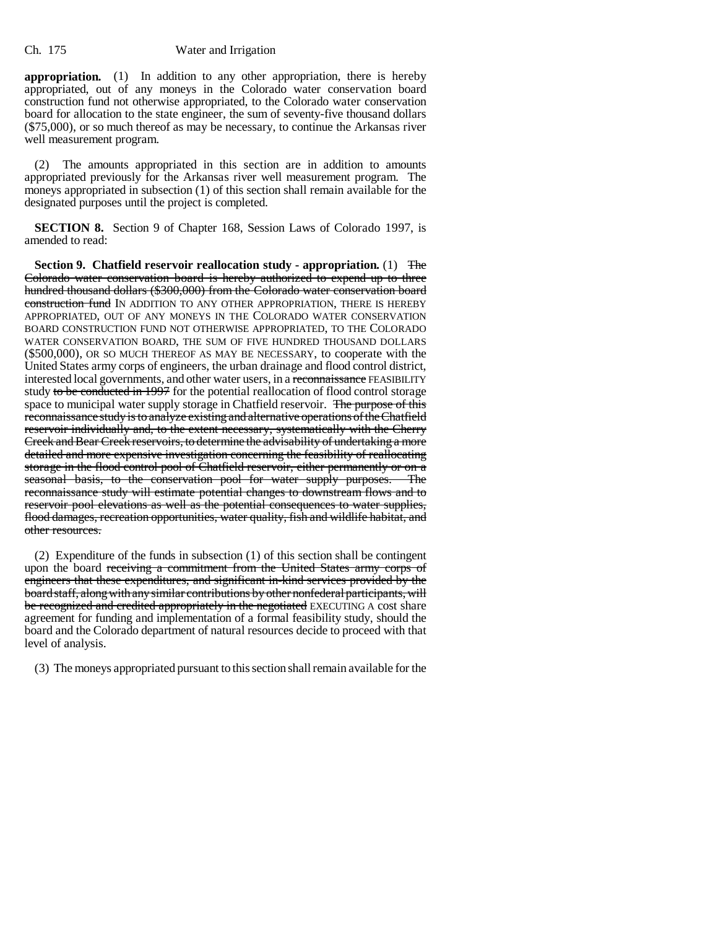## Ch. 175 Water and Irrigation

**appropriation.** (1) In addition to any other appropriation, there is hereby appropriated, out of any moneys in the Colorado water conservation board construction fund not otherwise appropriated, to the Colorado water conservation board for allocation to the state engineer, the sum of seventy-five thousand dollars (\$75,000), or so much thereof as may be necessary, to continue the Arkansas river well measurement program.

(2) The amounts appropriated in this section are in addition to amounts appropriated previously for the Arkansas river well measurement program. The moneys appropriated in subsection (1) of this section shall remain available for the designated purposes until the project is completed.

**SECTION 8.** Section 9 of Chapter 168, Session Laws of Colorado 1997, is amended to read:

**Section 9. Chatfield reservoir reallocation study - appropriation.** (1) The Colorado water conservation board is hereby authorized to expend up to three hundred thousand dollars (\$300,000) from the Colorado water conservation board construction fund IN ADDITION TO ANY OTHER APPROPRIATION, THERE IS HEREBY APPROPRIATED, OUT OF ANY MONEYS IN THE COLORADO WATER CONSERVATION BOARD CONSTRUCTION FUND NOT OTHERWISE APPROPRIATED, TO THE COLORADO WATER CONSERVATION BOARD, THE SUM OF FIVE HUNDRED THOUSAND DOLLARS (\$500,000), OR SO MUCH THEREOF AS MAY BE NECESSARY, to cooperate with the United States army corps of engineers, the urban drainage and flood control district, interested local governments, and other water users, in a reconnaissance FEASIBILITY study to be conducted in 1997 for the potential reallocation of flood control storage space to municipal water supply storage in Chatfield reservoir. The purpose of this reconnaissance study is to analyze existing and alternative operations of the Chatfield reservoir individually and, to the extent necessary, systematically with the Cherry Creek and Bear Creek reservoirs, to determine the advisability of undertaking a more detailed and more expensive investigation concerning the feasibility of reallocating storage in the flood control pool of Chatfield reservoir, either permanently or on a seasonal basis, to the conservation pool for water supply purposes. The reconnaissance study will estimate potential changes to downstream flows and to reservoir pool elevations as well as the potential consequences to water supplies, flood damages, recreation opportunities, water quality, fish and wildlife habitat, and other resources.

(2) Expenditure of the funds in subsection (1) of this section shall be contingent upon the board receiving a commitment from the United States army corps of engineers that these expenditures, and significant in-kind services provided by the board staff, along with any similar contributions by other nonfederal participants, will be recognized and credited appropriately in the negotiated EXECUTING A cost share agreement for funding and implementation of a formal feasibility study, should the board and the Colorado department of natural resources decide to proceed with that level of analysis.

(3) The moneys appropriated pursuant to this section shall remain available for the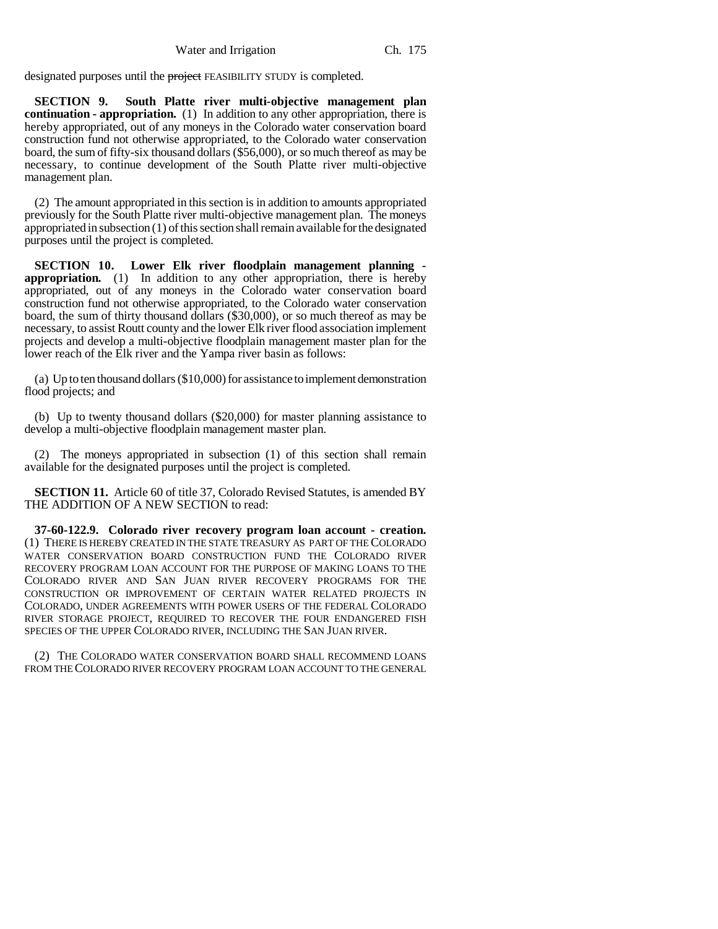designated purposes until the project FEASIBILITY STUDY is completed.

**SECTION 9. South Platte river multi-objective management plan continuation - appropriation.** (1) In addition to any other appropriation, there is hereby appropriated, out of any moneys in the Colorado water conservation board construction fund not otherwise appropriated, to the Colorado water conservation board, the sum of fifty-six thousand dollars (\$56,000), or so much thereof as may be necessary, to continue development of the South Platte river multi-objective management plan.

(2) The amount appropriated in this section is in addition to amounts appropriated previously for the South Platte river multi-objective management plan. The moneys appropriated in subsection (1) of this section shall remain available for the designated purposes until the project is completed.

**SECTION 10. Lower Elk river floodplain management planning appropriation.** (1) In addition to any other appropriation, there is hereby appropriated, out of any moneys in the Colorado water conservation board construction fund not otherwise appropriated, to the Colorado water conservation board, the sum of thirty thousand dollars (\$30,000), or so much thereof as may be necessary, to assist Routt county and the lower Elk river flood association implement projects and develop a multi-objective floodplain management master plan for the lower reach of the Elk river and the Yampa river basin as follows:

(a) Up to ten thousand dollars (\$10,000) for assistance to implement demonstration flood projects; and

(b) Up to twenty thousand dollars (\$20,000) for master planning assistance to develop a multi-objective floodplain management master plan.

(2) The moneys appropriated in subsection (1) of this section shall remain available for the designated purposes until the project is completed.

**SECTION 11.** Article 60 of title 37, Colorado Revised Statutes, is amended BY THE ADDITION OF A NEW SECTION to read:

**37-60-122.9. Colorado river recovery program loan account - creation.** (1) THERE IS HEREBY CREATED IN THE STATE TREASURY AS PART OF THE COLORADO WATER CONSERVATION BOARD CONSTRUCTION FUND THE COLORADO RIVER RECOVERY PROGRAM LOAN ACCOUNT FOR THE PURPOSE OF MAKING LOANS TO THE COLORADO RIVER AND SAN JUAN RIVER RECOVERY PROGRAMS FOR THE CONSTRUCTION OR IMPROVEMENT OF CERTAIN WATER RELATED PROJECTS IN COLORADO, UNDER AGREEMENTS WITH POWER USERS OF THE FEDERAL COLORADO RIVER STORAGE PROJECT, REQUIRED TO RECOVER THE FOUR ENDANGERED FISH SPECIES OF THE UPPER COLORADO RIVER, INCLUDING THE SAN JUAN RIVER.

(2) THE COLORADO WATER CONSERVATION BOARD SHALL RECOMMEND LOANS FROM THE COLORADO RIVER RECOVERY PROGRAM LOAN ACCOUNT TO THE GENERAL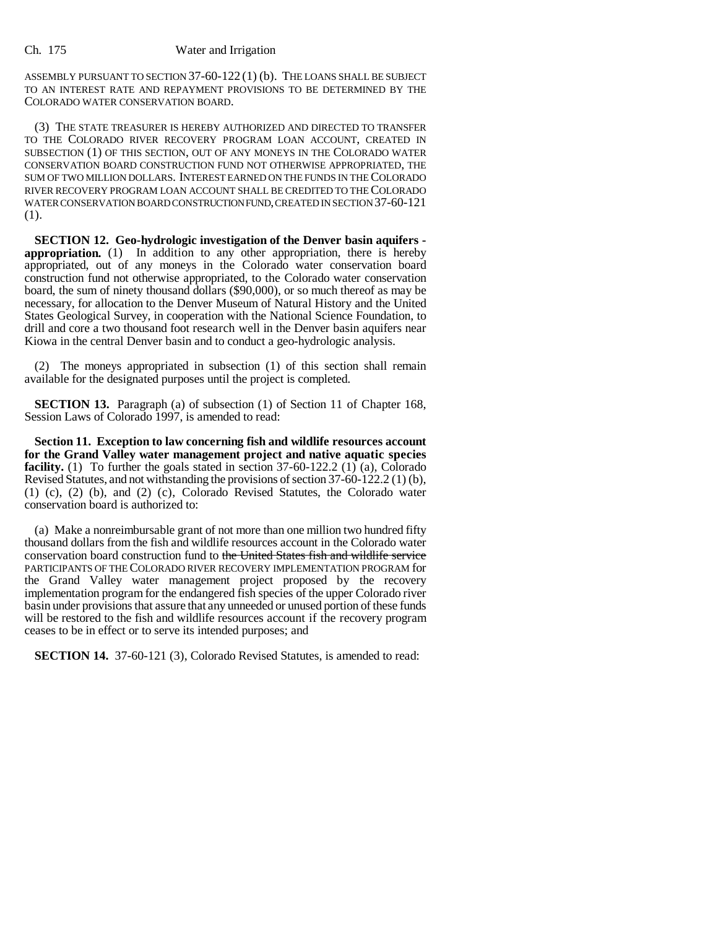ASSEMBLY PURSUANT TO SECTION 37-60-122 (1) (b). THE LOANS SHALL BE SUBJECT TO AN INTEREST RATE AND REPAYMENT PROVISIONS TO BE DETERMINED BY THE COLORADO WATER CONSERVATION BOARD.

(3) THE STATE TREASURER IS HEREBY AUTHORIZED AND DIRECTED TO TRANSFER TO THE COLORADO RIVER RECOVERY PROGRAM LOAN ACCOUNT, CREATED IN SUBSECTION (1) OF THIS SECTION, OUT OF ANY MONEYS IN THE COLORADO WATER CONSERVATION BOARD CONSTRUCTION FUND NOT OTHERWISE APPROPRIATED, THE SUM OF TWO MILLION DOLLARS. INTEREST EARNED ON THE FUNDS IN THE COLORADO RIVER RECOVERY PROGRAM LOAN ACCOUNT SHALL BE CREDITED TO THE COLORADO WATER CONSERVATION BOARD CONSTRUCTION FUND, CREATED IN SECTION 37-60-121 (1).

**SECTION 12. Geo-hydrologic investigation of the Denver basin aquifers appropriation.** (1) In addition to any other appropriation, there is hereby appropriated, out of any moneys in the Colorado water conservation board construction fund not otherwise appropriated, to the Colorado water conservation board, the sum of ninety thousand dollars (\$90,000), or so much thereof as may be necessary, for allocation to the Denver Museum of Natural History and the United States Geological Survey, in cooperation with the National Science Foundation, to drill and core a two thousand foot research well in the Denver basin aquifers near Kiowa in the central Denver basin and to conduct a geo-hydrologic analysis.

(2) The moneys appropriated in subsection (1) of this section shall remain available for the designated purposes until the project is completed.

**SECTION 13.** Paragraph (a) of subsection (1) of Section 11 of Chapter 168, Session Laws of Colorado 1997, is amended to read:

**Section 11. Exception to law concerning fish and wildlife resources account for the Grand Valley water management project and native aquatic species facility.** (1) To further the goals stated in section 37-60-122.2 (1) (a), Colorado Revised Statutes, and not withstanding the provisions of section 37-60-122.2 (1) (b), (1) (c), (2) (b), and (2) (c), Colorado Revised Statutes, the Colorado water conservation board is authorized to:

(a) Make a nonreimbursable grant of not more than one million two hundred fifty thousand dollars from the fish and wildlife resources account in the Colorado water conservation board construction fund to the United States fish and wildlife service PARTICIPANTS OF THE COLORADO RIVER RECOVERY IMPLEMENTATION PROGRAM for the Grand Valley water management project proposed by the recovery implementation program for the endangered fish species of the upper Colorado river basin under provisions that assure that any unneeded or unused portion of these funds will be restored to the fish and wildlife resources account if the recovery program ceases to be in effect or to serve its intended purposes; and

**SECTION 14.** 37-60-121 (3), Colorado Revised Statutes, is amended to read: